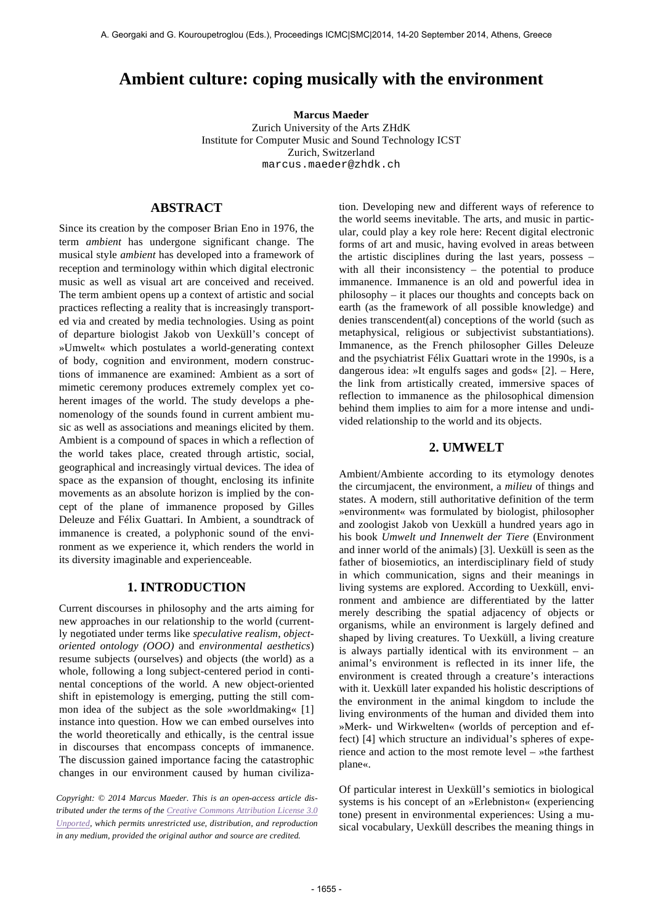# **Ambient culture: coping musically with the environment**

**Marcus Maeder**

Zurich University of the Arts ZHdK Institute for Computer Music and Sound Technology ICST Zurich, Switzerland marcus.maeder@zhdk.ch

# **ABSTRACT**

Since its creation by the composer Brian Eno in 1976, the term *ambient* has undergone significant change. The musical style *ambient* has developed into a framework of reception and terminology within which digital electronic music as well as visual art are conceived and received. The term ambient opens up a context of artistic and social practices reflecting a reality that is increasingly transported via and created by media technologies. Using as point of departure biologist Jakob von Uexküll's concept of »Umwelt« which postulates a world-generating context of body, cognition and environment, modern constructions of immanence are examined: Ambient as a sort of mimetic ceremony produces extremely complex yet coherent images of the world. The study develops a phenomenology of the sounds found in current ambient music as well as associations and meanings elicited by them. Ambient is a compound of spaces in which a reflection of the world takes place, created through artistic, social, geographical and increasingly virtual devices. The idea of space as the expansion of thought, enclosing its infinite movements as an absolute horizon is implied by the concept of the plane of immanence proposed by Gilles Deleuze and Félix Guattari. In Ambient, a soundtrack of immanence is created, a polyphonic sound of the environment as we experience it, which renders the world in its diversity imaginable and experienceable.

# **1. INTRODUCTION**

Current discourses in philosophy and the arts aiming for new approaches in our relationship to the world (currently negotiated under terms like *speculative realism*, *objectoriented ontology (OOO)* and *environmental aesthetics*) resume subjects (ourselves) and objects (the world) as a whole, following a long subject-centered period in continental conceptions of the world. A new object-oriented shift in epistemology is emerging, putting the still common idea of the subject as the sole »worldmaking« [1] instance into question. How we can embed ourselves into the world theoretically and ethically, is the central issue in discourses that encompass concepts of immanence. The discussion gained importance facing the catastrophic changes in our environment caused by human civiliza-

*Copyright: © 2014 Marcus Maeder. This is an open-access article distributed under the terms of the Creative Commons Attribution License 3.0 Unported, which permits unrestricted use, distribution, and reproduction in any medium, provided the original author and source are credited.*

tion. Developing new and different ways of reference to the world seems inevitable. The arts, and music in particular, could play a key role here: Recent digital electronic forms of art and music, having evolved in areas between the artistic disciplines during the last years, possess – with all their inconsistency – the potential to produce immanence. Immanence is an old and powerful idea in philosophy – it places our thoughts and concepts back on earth (as the framework of all possible knowledge) and denies transcendent(al) conceptions of the world (such as metaphysical, religious or subjectivist substantiations). Immanence, as the French philosopher Gilles Deleuze and the psychiatrist Félix Guattari wrote in the 1990s, is a dangerous idea: »It engulfs sages and gods« [2]. – Here, the link from artistically created, immersive spaces of reflection to immanence as the philosophical dimension behind them implies to aim for a more intense and undivided relationship to the world and its objects.

### **2. UMWELT**

Ambient/Ambiente according to its etymology denotes the circumjacent, the environment, a *milieu* of things and states. A modern, still authoritative definition of the term »environment« was formulated by biologist, philosopher and zoologist Jakob von Uexküll a hundred years ago in his book *Umwelt und Innenwelt der Tiere* (Environment and inner world of the animals) [3]. Uexküll is seen as the father of biosemiotics, an interdisciplinary field of study in which communication, signs and their meanings in living systems are explored. According to Uexküll, environment and ambience are differentiated by the latter merely describing the spatial adjacency of objects or organisms, while an environment is largely defined and shaped by living creatures. To Uexküll, a living creature is always partially identical with its environment – an animal's environment is reflected in its inner life, the environment is created through a creature's interactions with it. Uexküll later expanded his holistic descriptions of the environment in the animal kingdom to include the living environments of the human and divided them into »Merk- und Wirkwelten« (worlds of perception and effect) [4] which structure an individual's spheres of experience and action to the most remote level – »the farthest plane«.

Of particular interest in Uexküll's semiotics in biological systems is his concept of an »Erlebniston« (experiencing tone) present in environmental experiences: Using a musical vocabulary, Uexküll describes the meaning things in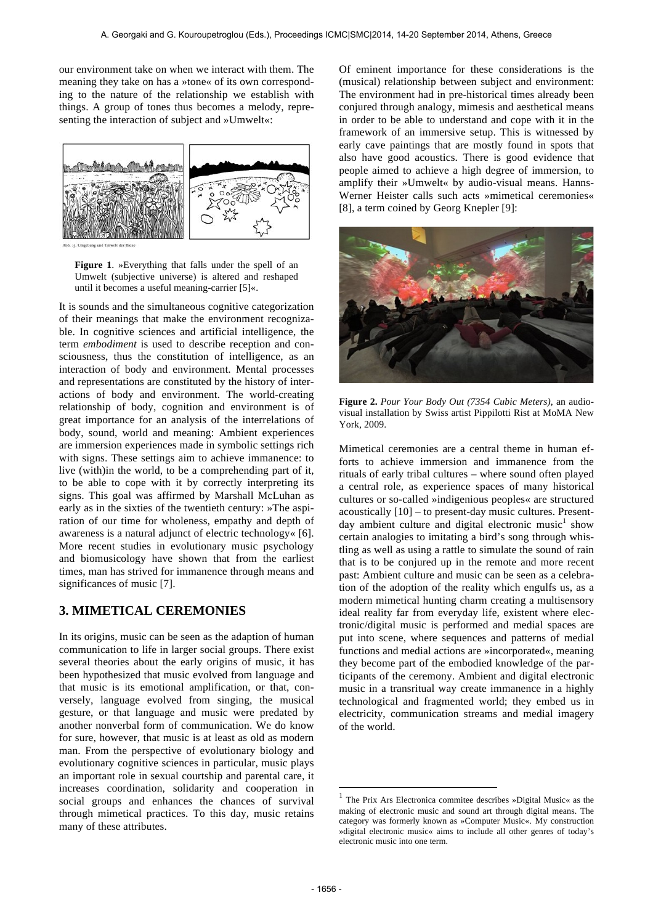our environment take on when we interact with them. The meaning they take on has a »tone« of its own corresponding to the nature of the relationship we establish with things. A group of tones thus becomes a melody, representing the interaction of subject and »Umwelt«:



**Figure 1**. »Everything that falls under the spell of an Umwelt (subjective universe) is altered and reshaped until it becomes a useful meaning-carrier [5]«.

It is sounds and the simultaneous cognitive categorization of their meanings that make the environment recognizable. In cognitive sciences and artificial intelligence, the term *embodiment* is used to describe reception and consciousness, thus the constitution of intelligence, as an interaction of body and environment. Mental processes and representations are constituted by the history of interactions of body and environment. The world-creating relationship of body, cognition and environment is of great importance for an analysis of the interrelations of body, sound, world and meaning: Ambient experiences are immersion experiences made in symbolic settings rich with signs. These settings aim to achieve immanence: to live (with)in the world, to be a comprehending part of it, to be able to cope with it by correctly interpreting its signs. This goal was affirmed by Marshall McLuhan as early as in the sixties of the twentieth century: »The aspiration of our time for wholeness, empathy and depth of awareness is a natural adjunct of electric technology« [6]. More recent studies in evolutionary music psychology and biomusicology have shown that from the earliest times, man has strived for immanence through means and significances of music [7].

# **3. MIMETICAL CEREMONIES**

In its origins, music can be seen as the adaption of human communication to life in larger social groups. There exist several theories about the early origins of music, it has been hypothesized that music evolved from language and that music is its emotional amplification, or that, conversely, language evolved from singing, the musical gesture, or that language and music were predated by another nonverbal form of communication. We do know for sure, however, that music is at least as old as modern man. From the perspective of evolutionary biology and evolutionary cognitive sciences in particular, music plays an important role in sexual courtship and parental care, it increases coordination, solidarity and cooperation in social groups and enhances the chances of survival through mimetical practices. To this day, music retains many of these attributes.

Of eminent importance for these considerations is the (musical) relationship between subject and environment: The environment had in pre-historical times already been conjured through analogy, mimesis and aesthetical means in order to be able to understand and cope with it in the framework of an immersive setup. This is witnessed by early cave paintings that are mostly found in spots that also have good acoustics. There is good evidence that people aimed to achieve a high degree of immersion, to amplify their »Umwelt« by audio-visual means. Hanns-Werner Heister calls such acts »mimetical ceremonies« [8], a term coined by Georg Knepler [9]:



**Figure 2.** *Pour Your Body Out (7354 Cubic Meters),* an audiovisual installation by Swiss artist Pippilotti Rist at MoMA New York, 2009.

Mimetical ceremonies are a central theme in human efforts to achieve immersion and immanence from the rituals of early tribal cultures – where sound often played a central role, as experience spaces of many historical cultures or so-called »indigenious peoples« are structured acoustically [10] – to present-day music cultures. Presentday ambient culture and digital electronic music<sup>1</sup> show certain analogies to imitating a bird's song through whistling as well as using a rattle to simulate the sound of rain that is to be conjured up in the remote and more recent past: Ambient culture and music can be seen as a celebration of the adoption of the reality which engulfs us, as a modern mimetical hunting charm creating a multisensory ideal reality far from everyday life, existent where electronic/digital music is performed and medial spaces are put into scene, where sequences and patterns of medial functions and medial actions are »incorporated«, meaning they become part of the embodied knowledge of the participants of the ceremony. Ambient and digital electronic music in a transritual way create immanence in a highly technological and fragmented world; they embed us in electricity, communication streams and medial imagery of the world.

l

<sup>1</sup> The Prix Ars Electronica commitee describes »Digital Music« as the making of electronic music and sound art through digital means. The category was formerly known as »Computer Music«. My construction »digital electronic music« aims to include all other genres of today's electronic music into one term.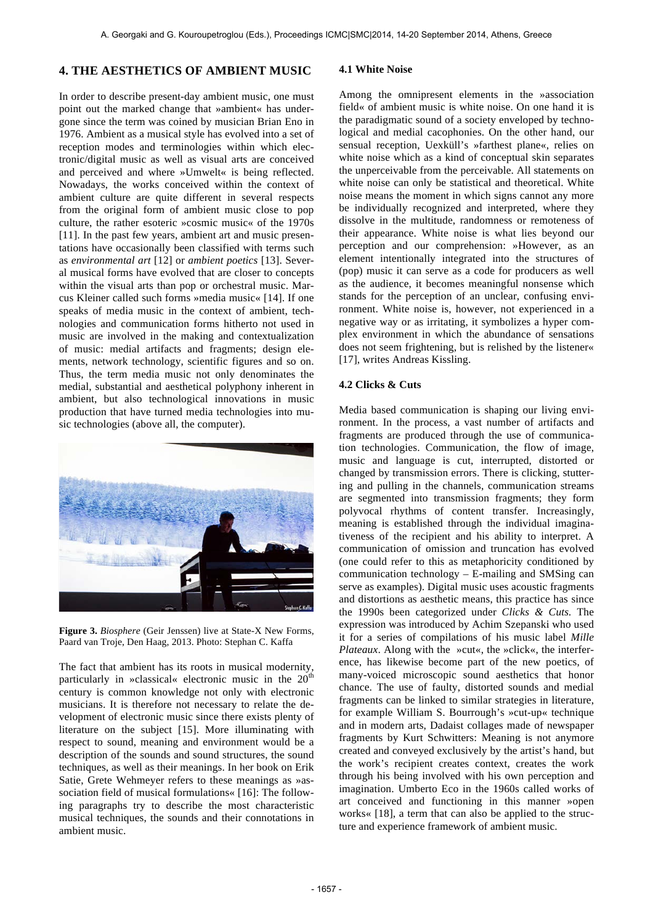#### **4. THE AESTHETICS OF AMBIENT MUSIC**

In order to describe present-day ambient music, one must point out the marked change that »ambient« has undergone since the term was coined by musician Brian Eno in 1976. Ambient as a musical style has evolved into a set of reception modes and terminologies within which electronic/digital music as well as visual arts are conceived and perceived and where »Umwelt« is being reflected. Nowadays, the works conceived within the context of ambient culture are quite different in several respects from the original form of ambient music close to pop culture, the rather esoteric »cosmic music« of the 1970s [11]. In the past few years, ambient art and music presentations have occasionally been classified with terms such as *environmental art* [12] or *ambient poetics* [13]. Several musical forms have evolved that are closer to concepts within the visual arts than pop or orchestral music. Marcus Kleiner called such forms »media music« [14]. If one speaks of media music in the context of ambient, technologies and communication forms hitherto not used in music are involved in the making and contextualization of music: medial artifacts and fragments; design elements, network technology, scientific figures and so on. Thus, the term media music not only denominates the medial, substantial and aesthetical polyphony inherent in ambient, but also technological innovations in music production that have turned media technologies into music technologies (above all, the computer).



**Figure 3.** *Biosphere* (Geir Jenssen) live at State-X New Forms, Paard van Troje, Den Haag, 2013. Photo: Stephan C. Kaffa

The fact that ambient has its roots in musical modernity, particularly in »classical« electronic music in the  $20<sup>th</sup>$ century is common knowledge not only with electronic musicians. It is therefore not necessary to relate the development of electronic music since there exists plenty of literature on the subject [15]. More illuminating with respect to sound, meaning and environment would be a description of the sounds and sound structures, the sound techniques, as well as their meanings. In her book on Erik Satie, Grete Wehmeyer refers to these meanings as »association field of musical formulations« [16]: The following paragraphs try to describe the most characteristic musical techniques, the sounds and their connotations in ambient music.

#### **4.1 White Noise**

Among the omnipresent elements in the »association field« of ambient music is white noise. On one hand it is the paradigmatic sound of a society enveloped by technological and medial cacophonies. On the other hand, our sensual reception, Uexküll's »farthest plane«, relies on white noise which as a kind of conceptual skin separates the unperceivable from the perceivable. All statements on white noise can only be statistical and theoretical. White noise means the moment in which signs cannot any more be individually recognized and interpreted, where they dissolve in the multitude, randomness or remoteness of their appearance. White noise is what lies beyond our perception and our comprehension: »However, as an element intentionally integrated into the structures of (pop) music it can serve as a code for producers as well as the audience, it becomes meaningful nonsense which stands for the perception of an unclear, confusing environment. White noise is, however, not experienced in a negative way or as irritating, it symbolizes a hyper complex environment in which the abundance of sensations does not seem frightening, but is relished by the listener« [17], writes Andreas Kissling.

#### **4.2 Clicks & Cuts**

Media based communication is shaping our living environment. In the process, a vast number of artifacts and fragments are produced through the use of communication technologies. Communication, the flow of image, music and language is cut, interrupted, distorted or changed by transmission errors. There is clicking, stuttering and pulling in the channels, communication streams are segmented into transmission fragments; they form polyvocal rhythms of content transfer. Increasingly, meaning is established through the individual imaginativeness of the recipient and his ability to interpret. A communication of omission and truncation has evolved (one could refer to this as metaphoricity conditioned by communication technology – E-mailing and SMSing can serve as examples). Digital music uses acoustic fragments and distortions as aesthetic means, this practice has since the 1990s been categorized under *Clicks & Cuts.* The expression was introduced by Achim Szepanski who used it for a series of compilations of his music label *Mille Plateaux*. Along with the »cut«, the »click«, the interference, has likewise become part of the new poetics, of many-voiced microscopic sound aesthetics that honor chance. The use of faulty, distorted sounds and medial fragments can be linked to similar strategies in literature, for example William S. Bourrough's »cut-up« technique and in modern arts, Dadaist collages made of newspaper fragments by Kurt Schwitters: Meaning is not anymore created and conveyed exclusively by the artist's hand, but the work's recipient creates context, creates the work through his being involved with his own perception and imagination. Umberto Eco in the 1960s called works of art conceived and functioning in this manner »open works« [18], a term that can also be applied to the structure and experience framework of ambient music.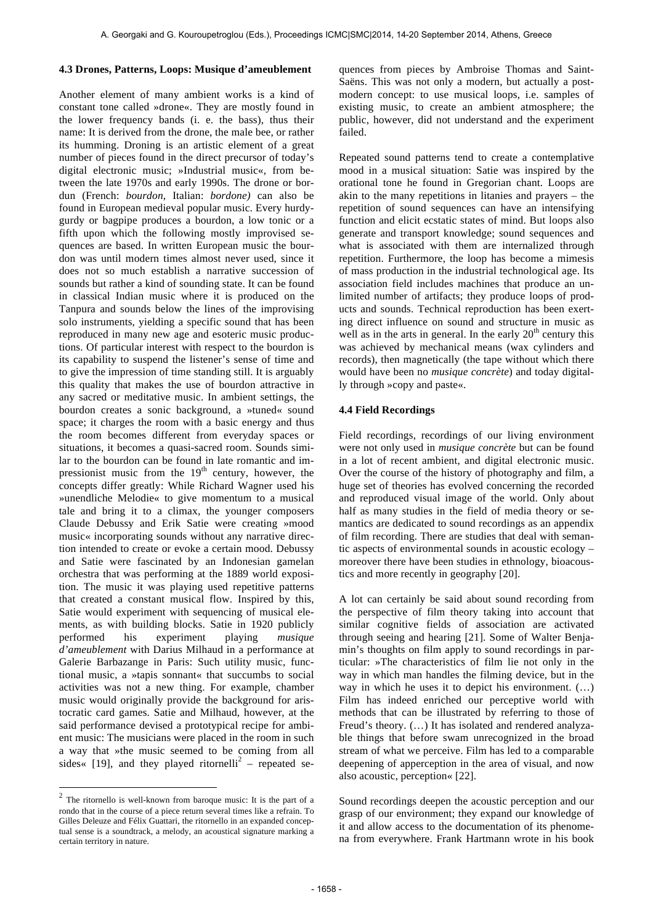#### **4.3 Drones, Patterns, Loops: Musique d'ameublement**

Another element of many ambient works is a kind of constant tone called »drone«. They are mostly found in the lower frequency bands (i. e. the bass), thus their name: It is derived from the drone, the male bee, or rather its humming. Droning is an artistic element of a great number of pieces found in the direct precursor of today's digital electronic music; »Industrial music«, from between the late 1970s and early 1990s. The drone or bordun (French: *bourdon*, Italian: *bordone)* can also be found in European medieval popular music. Every hurdygurdy or bagpipe produces a bourdon, a low tonic or a fifth upon which the following mostly improvised sequences are based. In written European music the bourdon was until modern times almost never used, since it does not so much establish a narrative succession of sounds but rather a kind of sounding state. It can be found in classical Indian music where it is produced on the Tanpura and sounds below the lines of the improvising solo instruments, yielding a specific sound that has been reproduced in many new age and esoteric music productions. Of particular interest with respect to the bourdon is its capability to suspend the listener's sense of time and to give the impression of time standing still. It is arguably this quality that makes the use of bourdon attractive in any sacred or meditative music. In ambient settings, the bourdon creates a sonic background, a »tuned« sound space; it charges the room with a basic energy and thus the room becomes different from everyday spaces or situations, it becomes a quasi-sacred room. Sounds similar to the bourdon can be found in late romantic and impressionist music from the  $19<sup>th</sup>$  century, however, the concepts differ greatly: While Richard Wagner used his »unendliche Melodie« to give momentum to a musical tale and bring it to a climax, the younger composers Claude Debussy and Erik Satie were creating »mood music« incorporating sounds without any narrative direction intended to create or evoke a certain mood. Debussy and Satie were fascinated by an Indonesian gamelan orchestra that was performing at the 1889 world exposition. The music it was playing used repetitive patterns that created a constant musical flow. Inspired by this, Satie would experiment with sequencing of musical elements, as with building blocks. Satie in 1920 publicly performed his experiment playing *musique d'ameublement* with Darius Milhaud in a performance at Galerie Barbazange in Paris: Such utility music, functional music, a »tapis sonnant« that succumbs to social activities was not a new thing. For example, chamber music would originally provide the background for aristocratic card games. Satie and Milhaud, however, at the said performance devised a prototypical recipe for ambient music: The musicians were placed in the room in such a way that »the music seemed to be coming from all sides« [19], and they played ritornelli<sup>2</sup> – repeated se-

 $\overline{a}$ 

quences from pieces by Ambroise Thomas and Saint-Saëns. This was not only a modern, but actually a postmodern concept: to use musical loops, i.e. samples of existing music, to create an ambient atmosphere; the public, however, did not understand and the experiment failed.

Repeated sound patterns tend to create a contemplative mood in a musical situation: Satie was inspired by the orational tone he found in Gregorian chant. Loops are akin to the many repetitions in litanies and prayers – the repetition of sound sequences can have an intensifying function and elicit ecstatic states of mind. But loops also generate and transport knowledge; sound sequences and what is associated with them are internalized through repetition. Furthermore, the loop has become a mimesis of mass production in the industrial technological age. Its association field includes machines that produce an unlimited number of artifacts; they produce loops of products and sounds. Technical reproduction has been exerting direct influence on sound and structure in music as well as in the arts in general. In the early  $20<sup>th</sup>$  century this was achieved by mechanical means (wax cylinders and records), then magnetically (the tape without which there would have been no *musique concrète*) and today digitally through »copy and paste«.

#### **4.4 Field Recordings**

Field recordings, recordings of our living environment were not only used in *musique concrète* but can be found in a lot of recent ambient, and digital electronic music. Over the course of the history of photography and film, a huge set of theories has evolved concerning the recorded and reproduced visual image of the world. Only about half as many studies in the field of media theory or semantics are dedicated to sound recordings as an appendix of film recording. There are studies that deal with semantic aspects of environmental sounds in acoustic ecology – moreover there have been studies in ethnology, bioacoustics and more recently in geography [20].

A lot can certainly be said about sound recording from the perspective of film theory taking into account that similar cognitive fields of association are activated through seeing and hearing [21]. Some of Walter Benjamin's thoughts on film apply to sound recordings in particular: »The characteristics of film lie not only in the way in which man handles the filming device, but in the way in which he uses it to depict his environment. (…) Film has indeed enriched our perceptive world with methods that can be illustrated by referring to those of Freud's theory. (…) It has isolated and rendered analyzable things that before swam unrecognized in the broad stream of what we perceive. Film has led to a comparable deepening of apperception in the area of visual, and now also acoustic, perception« [22].

Sound recordings deepen the acoustic perception and our grasp of our environment; they expand our knowledge of it and allow access to the documentation of its phenomena from everywhere. Frank Hartmann wrote in his book

<sup>2</sup> The ritornello is well-known from baroque music: It is the part of a rondo that in the course of a piece return several times like a refrain. To Gilles Deleuze and Félix Guattari, the ritornello in an expanded conceptual sense is a soundtrack, a melody, an acoustical signature marking a certain territory in nature.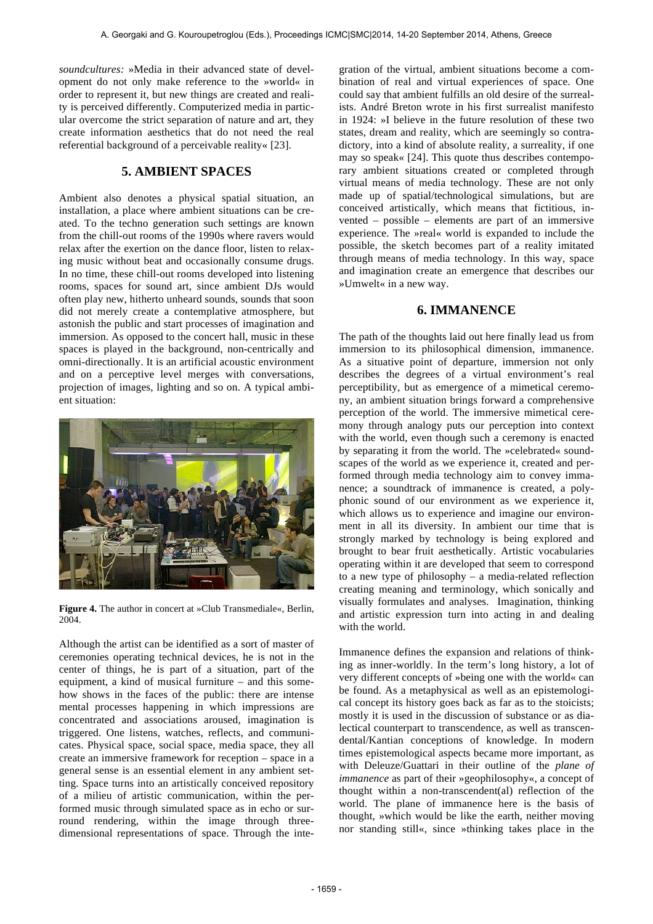*soundcultures:* »Media in their advanced state of development do not only make reference to the »world« in order to represent it, but new things are created and reality is perceived differently. Computerized media in particular overcome the strict separation of nature and art, they create information aesthetics that do not need the real referential background of a perceivable reality« [23].

# **5. AMBIENT SPACES**

Ambient also denotes a physical spatial situation, an installation, a place where ambient situations can be created. To the techno generation such settings are known from the chill-out rooms of the 1990s where ravers would relax after the exertion on the dance floor, listen to relaxing music without beat and occasionally consume drugs. In no time, these chill-out rooms developed into listening rooms, spaces for sound art, since ambient DJs would often play new, hitherto unheard sounds, sounds that soon did not merely create a contemplative atmosphere, but astonish the public and start processes of imagination and immersion. As opposed to the concert hall, music in these spaces is played in the background, non-centrically and omni-directionally. It is an artificial acoustic environment and on a perceptive level merges with conversations, projection of images, lighting and so on. A typical ambient situation:



**Figure 4.** The author in concert at »Club Transmediale«, Berlin, 2004.

Although the artist can be identified as a sort of master of ceremonies operating technical devices, he is not in the center of things, he is part of a situation, part of the equipment, a kind of musical furniture – and this somehow shows in the faces of the public: there are intense mental processes happening in which impressions are concentrated and associations aroused, imagination is triggered. One listens, watches, reflects, and communicates. Physical space, social space, media space, they all create an immersive framework for reception – space in a general sense is an essential element in any ambient setting. Space turns into an artistically conceived repository of a milieu of artistic communication, within the performed music through simulated space as in echo or surround rendering, within the image through threedimensional representations of space. Through the integration of the virtual, ambient situations become a combination of real and virtual experiences of space. One could say that ambient fulfills an old desire of the surrealists. André Breton wrote in his first surrealist manifesto in 1924: »I believe in the future resolution of these two states, dream and reality, which are seemingly so contradictory, into a kind of absolute reality, a surreality, if one may so speak« [24]. This quote thus describes contemporary ambient situations created or completed through virtual means of media technology. These are not only made up of spatial/technological simulations, but are conceived artistically, which means that fictitious, invented – possible – elements are part of an immersive experience. The »real« world is expanded to include the possible, the sketch becomes part of a reality imitated through means of media technology. In this way, space and imagination create an emergence that describes our »Umwelt« in a new way.

### **6. IMMANENCE**

The path of the thoughts laid out here finally lead us from immersion to its philosophical dimension, immanence. As a situative point of departure, immersion not only describes the degrees of a virtual environment's real perceptibility, but as emergence of a mimetical ceremony, an ambient situation brings forward a comprehensive perception of the world. The immersive mimetical ceremony through analogy puts our perception into context with the world, even though such a ceremony is enacted by separating it from the world. The »celebrated« soundscapes of the world as we experience it, created and performed through media technology aim to convey immanence; a soundtrack of immanence is created, a polyphonic sound of our environment as we experience it, which allows us to experience and imagine our environment in all its diversity. In ambient our time that is strongly marked by technology is being explored and brought to bear fruit aesthetically. Artistic vocabularies operating within it are developed that seem to correspond to a new type of philosophy – a media-related reflection creating meaning and terminology, which sonically and visually formulates and analyses. Imagination, thinking and artistic expression turn into acting in and dealing with the world.

Immanence defines the expansion and relations of thinking as inner-worldly. In the term's long history, a lot of very different concepts of »being one with the world« can be found. As a metaphysical as well as an epistemological concept its history goes back as far as to the stoicists; mostly it is used in the discussion of substance or as dialectical counterpart to transcendence, as well as transcendental/Kantian conceptions of knowledge. In modern times epistemological aspects became more important, as with Deleuze/Guattari in their outline of the *plane of immanence* as part of their »geophilosophy«, a concept of thought within a non-transcendent(al) reflection of the world. The plane of immanence here is the basis of thought, »which would be like the earth, neither moving nor standing still«, since »thinking takes place in the